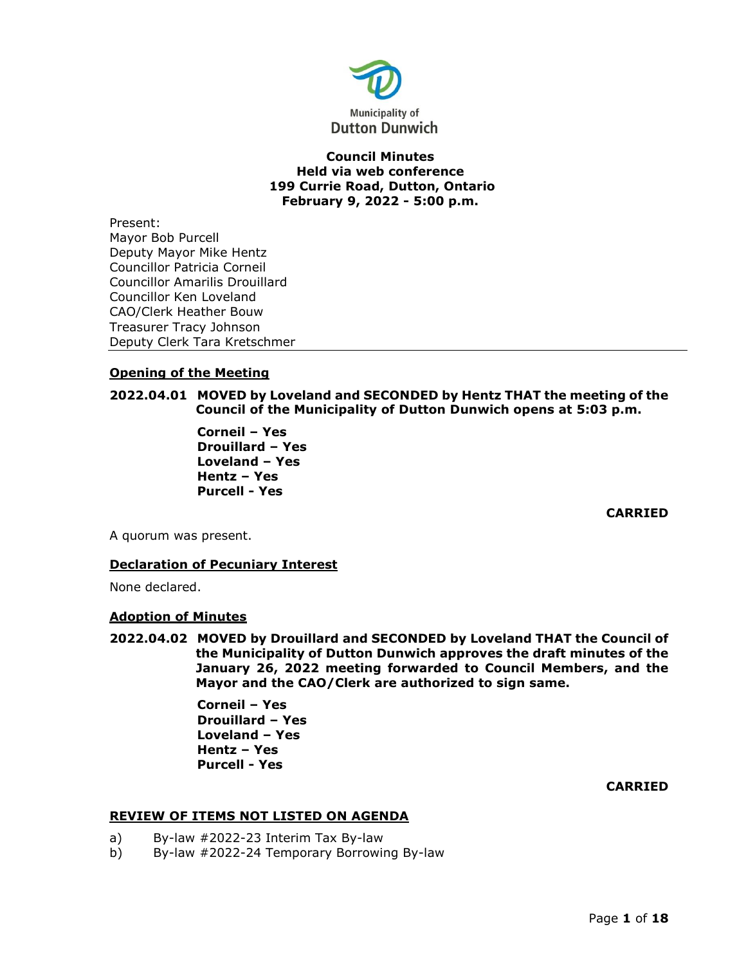

## **Council Minutes Held via web conference 199 Currie Road, Dutton, Ontario February 9, 2022 - 5:00 p.m.**

Present: Mayor Bob Purcell Deputy Mayor Mike Hentz Councillor Patricia Corneil Councillor Amarilis Drouillard Councillor Ken Loveland CAO/Clerk Heather Bouw Treasurer Tracy Johnson Deputy Clerk Tara Kretschmer

## **Opening of the Meeting**

## **2022.04.01 MOVED by Loveland and SECONDED by Hentz THAT the meeting of the Council of the Municipality of Dutton Dunwich opens at 5:03 p.m.**

**Corneil – Yes Drouillard – Yes Loveland – Yes Hentz – Yes Purcell - Yes**

**CARRIED**

A quorum was present.

## **Declaration of Pecuniary Interest**

None declared.

## **Adoption of Minutes**

**2022.04.02 MOVED by Drouillard and SECONDED by Loveland THAT the Council of the Municipality of Dutton Dunwich approves the draft minutes of the January 26, 2022 meeting forwarded to Council Members, and the Mayor and the CAO/Clerk are authorized to sign same.**

> **Corneil – Yes Drouillard – Yes Loveland – Yes Hentz – Yes Purcell - Yes**

### **CARRIED**

### **REVIEW OF ITEMS NOT LISTED ON AGENDA**

- a) By-law #2022-23 Interim Tax By-law
- b) By-law #2022-24 Temporary Borrowing By-law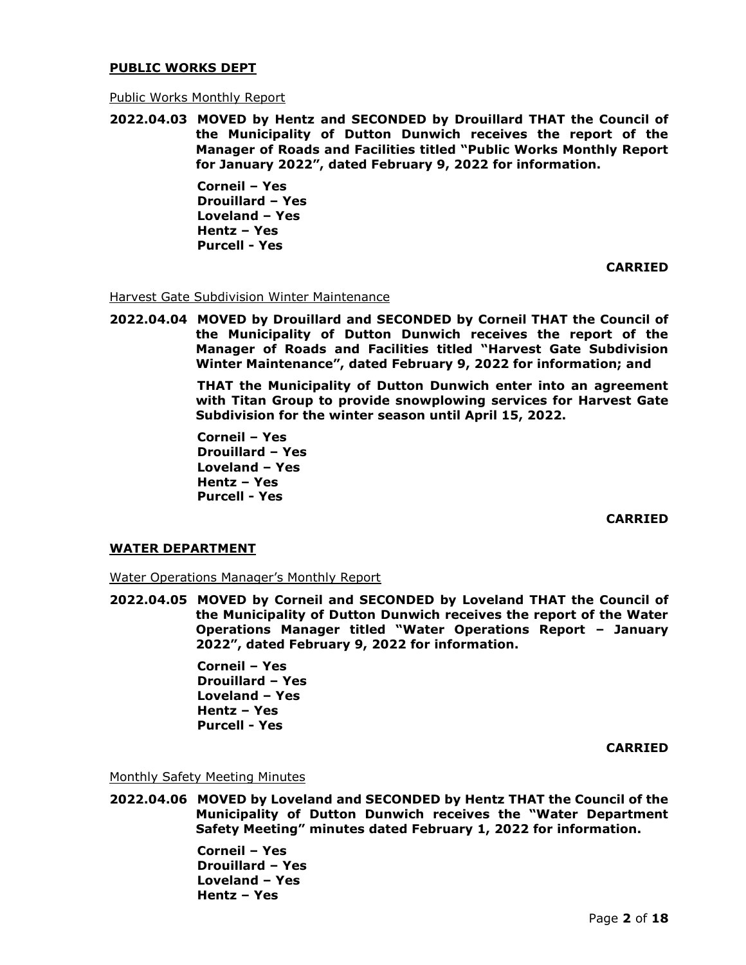#### **PUBLIC WORKS DEPT**

#### Public Works Monthly Report

**2022.04.03 MOVED by Hentz and SECONDED by Drouillard THAT the Council of the Municipality of Dutton Dunwich receives the report of the Manager of Roads and Facilities titled "Public Works Monthly Report for January 2022", dated February 9, 2022 for information.**

> **Corneil – Yes Drouillard – Yes Loveland – Yes Hentz – Yes Purcell - Yes**

> > **CARRIED**

## **Harvest Gate Subdivision Winter Maintenance**

**2022.04.04 MOVED by Drouillard and SECONDED by Corneil THAT the Council of the Municipality of Dutton Dunwich receives the report of the Manager of Roads and Facilities titled "Harvest Gate Subdivision Winter Maintenance", dated February 9, 2022 for information; and**

> **THAT the Municipality of Dutton Dunwich enter into an agreement with Titan Group to provide snowplowing services for Harvest Gate Subdivision for the winter season until April 15, 2022.**

**Corneil – Yes Drouillard – Yes Loveland – Yes Hentz – Yes Purcell - Yes**

**CARRIED**

### **WATER DEPARTMENT**

Water Operations Manager's Monthly Report

**2022.04.05 MOVED by Corneil and SECONDED by Loveland THAT the Council of the Municipality of Dutton Dunwich receives the report of the Water Operations Manager titled "Water Operations Report – January 2022", dated February 9, 2022 for information.** 

> **Corneil – Yes Drouillard – Yes Loveland – Yes Hentz – Yes Purcell - Yes**

> > **CARRIED**

Monthly Safety Meeting Minutes

**2022.04.06 MOVED by Loveland and SECONDED by Hentz THAT the Council of the Municipality of Dutton Dunwich receives the "Water Department Safety Meeting" minutes dated February 1, 2022 for information.** 

> **Corneil – Yes Drouillard – Yes Loveland – Yes Hentz – Yes**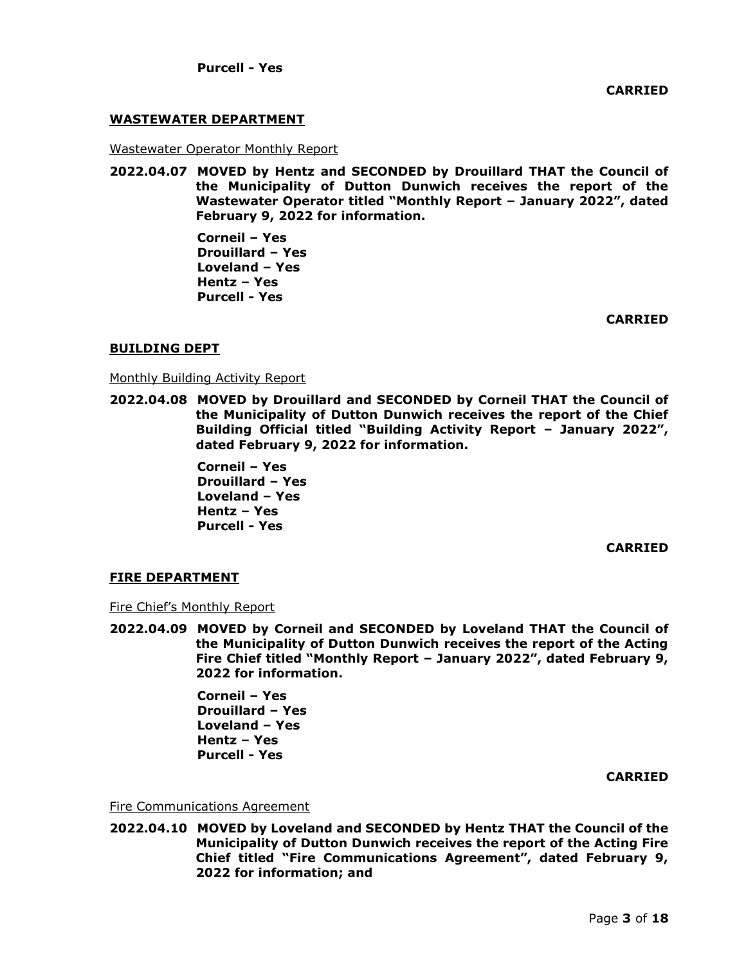## **WASTEWATER DEPARTMENT**

Wastewater Operator Monthly Report

**2022.04.07 MOVED by Hentz and SECONDED by Drouillard THAT the Council of the Municipality of Dutton Dunwich receives the report of the Wastewater Operator titled "Monthly Report – January 2022", dated February 9, 2022 for information.** 

> **Corneil – Yes Drouillard – Yes Loveland – Yes Hentz – Yes Purcell - Yes**

> > **CARRIED**

### **BUILDING DEPT**

Monthly Building Activity Report

**2022.04.08 MOVED by Drouillard and SECONDED by Corneil THAT the Council of the Municipality of Dutton Dunwich receives the report of the Chief Building Official titled "Building Activity Report – January 2022", dated February 9, 2022 for information.** 

> **Corneil – Yes Drouillard – Yes Loveland – Yes Hentz – Yes Purcell - Yes**

> > **CARRIED**

### **FIRE DEPARTMENT**

Fire Chief's Monthly Report

**2022.04.09 MOVED by Corneil and SECONDED by Loveland THAT the Council of the Municipality of Dutton Dunwich receives the report of the Acting Fire Chief titled "Monthly Report – January 2022", dated February 9, 2022 for information.**

> **Corneil – Yes Drouillard – Yes Loveland – Yes Hentz – Yes Purcell - Yes**

## **CARRIED**

Fire Communications Agreement

**2022.04.10 MOVED by Loveland and SECONDED by Hentz THAT the Council of the Municipality of Dutton Dunwich receives the report of the Acting Fire Chief titled "Fire Communications Agreement", dated February 9, 2022 for information; and**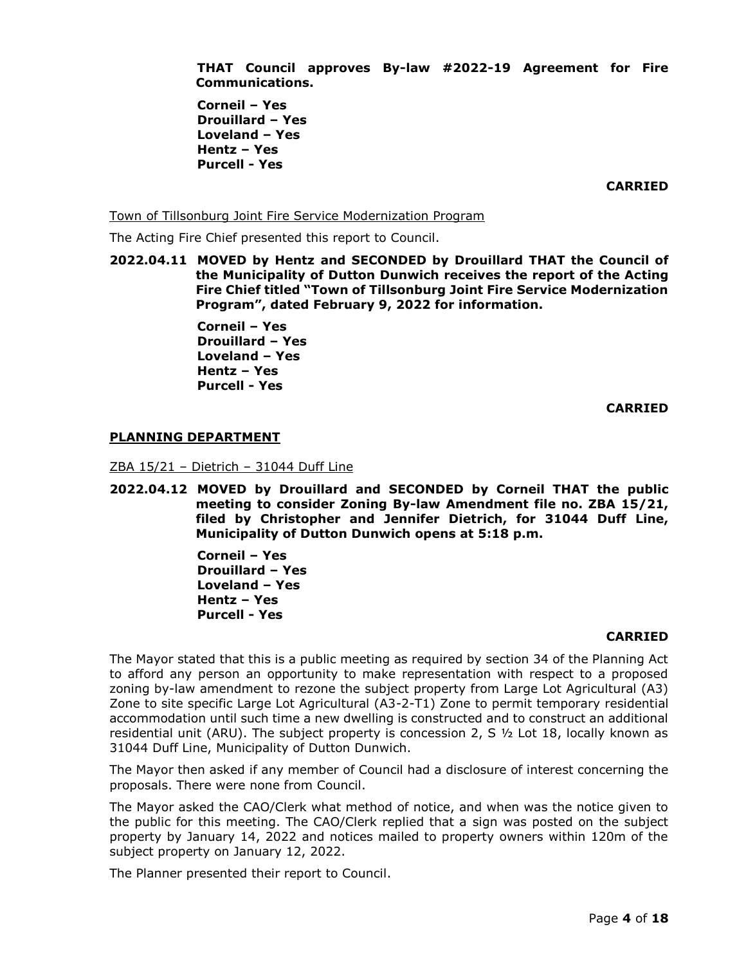**THAT Council approves By-law #2022-19 Agreement for Fire Communications.**

**Corneil – Yes Drouillard – Yes Loveland – Yes Hentz – Yes Purcell - Yes**

**CARRIED**

Town of Tillsonburg Joint Fire Service Modernization Program

The Acting Fire Chief presented this report to Council.

**2022.04.11 MOVED by Hentz and SECONDED by Drouillard THAT the Council of the Municipality of Dutton Dunwich receives the report of the Acting Fire Chief titled "Town of Tillsonburg Joint Fire Service Modernization Program", dated February 9, 2022 for information.**

> **Corneil – Yes Drouillard – Yes Loveland – Yes Hentz – Yes Purcell - Yes**

> > **CARRIED**

### **PLANNING DEPARTMENT**

ZBA 15/21 – Dietrich – 31044 Duff Line

**2022.04.12 MOVED by Drouillard and SECONDED by Corneil THAT the public meeting to consider Zoning By-law Amendment file no. ZBA 15/21, filed by Christopher and Jennifer Dietrich, for 31044 Duff Line, Municipality of Dutton Dunwich opens at 5:18 p.m.**

> **Corneil – Yes Drouillard – Yes Loveland – Yes Hentz – Yes Purcell - Yes**

#### **CARRIED**

The Mayor stated that this is a public meeting as required by section 34 of the Planning Act to afford any person an opportunity to make representation with respect to a proposed zoning by-law amendment to rezone the subject property from Large Lot Agricultural (A3) Zone to site specific Large Lot Agricultural (A3-2-T1) Zone to permit temporary residential accommodation until such time a new dwelling is constructed and to construct an additional residential unit (ARU). The subject property is concession 2,  $\leq$   $\frac{1}{2}$  Lot 18, locally known as 31044 Duff Line, Municipality of Dutton Dunwich.

The Mayor then asked if any member of Council had a disclosure of interest concerning the proposals. There were none from Council.

The Mayor asked the CAO/Clerk what method of notice, and when was the notice given to the public for this meeting. The CAO/Clerk replied that a sign was posted on the subject property by January 14, 2022 and notices mailed to property owners within 120m of the subject property on January 12, 2022.

The Planner presented their report to Council.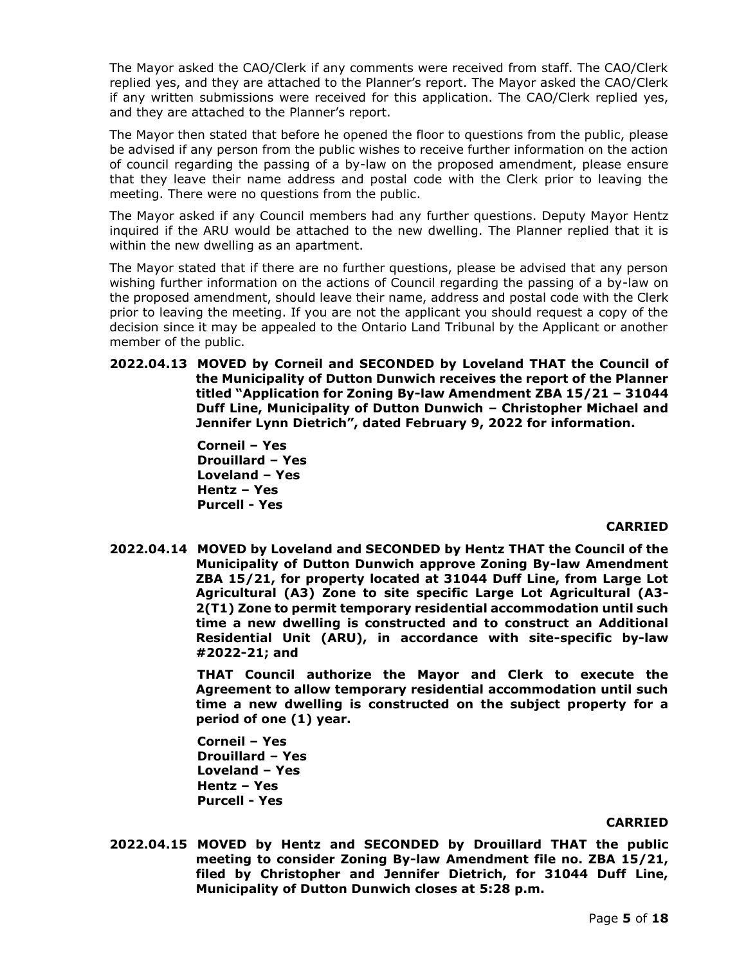The Mayor asked the CAO/Clerk if any comments were received from staff. The CAO/Clerk replied yes, and they are attached to the Planner's report. The Mayor asked the CAO/Clerk if any written submissions were received for this application. The CAO/Clerk replied yes, and they are attached to the Planner's report.

The Mayor then stated that before he opened the floor to questions from the public, please be advised if any person from the public wishes to receive further information on the action of council regarding the passing of a by-law on the proposed amendment, please ensure that they leave their name address and postal code with the Clerk prior to leaving the meeting. There were no questions from the public.

The Mayor asked if any Council members had any further questions. Deputy Mayor Hentz inquired if the ARU would be attached to the new dwelling. The Planner replied that it is within the new dwelling as an apartment.

The Mayor stated that if there are no further questions, please be advised that any person wishing further information on the actions of Council regarding the passing of a by-law on the proposed amendment, should leave their name, address and postal code with the Clerk prior to leaving the meeting. If you are not the applicant you should request a copy of the decision since it may be appealed to the Ontario Land Tribunal by the Applicant or another member of the public.

**2022.04.13 MOVED by Corneil and SECONDED by Loveland THAT the Council of the Municipality of Dutton Dunwich receives the report of the Planner titled "Application for Zoning By-law Amendment ZBA 15/21 – 31044 Duff Line, Municipality of Dutton Dunwich – Christopher Michael and Jennifer Lynn Dietrich", dated February 9, 2022 for information.**

> **Corneil – Yes Drouillard – Yes Loveland – Yes Hentz – Yes Purcell - Yes**

## **CARRIED**

**2022.04.14 MOVED by Loveland and SECONDED by Hentz THAT the Council of the Municipality of Dutton Dunwich approve Zoning By-law Amendment ZBA 15/21, for property located at 31044 Duff Line, from Large Lot Agricultural (A3) Zone to site specific Large Lot Agricultural (A3- 2(T1) Zone to permit temporary residential accommodation until such time a new dwelling is constructed and to construct an Additional Residential Unit (ARU), in accordance with site-specific by-law #2022-21; and**

> **THAT Council authorize the Mayor and Clerk to execute the Agreement to allow temporary residential accommodation until such time a new dwelling is constructed on the subject property for a period of one (1) year.**

**Corneil – Yes Drouillard – Yes Loveland – Yes Hentz – Yes Purcell - Yes**

### **CARRIED**

**2022.04.15 MOVED by Hentz and SECONDED by Drouillard THAT the public meeting to consider Zoning By-law Amendment file no. ZBA 15/21, filed by Christopher and Jennifer Dietrich, for 31044 Duff Line, Municipality of Dutton Dunwich closes at 5:28 p.m.**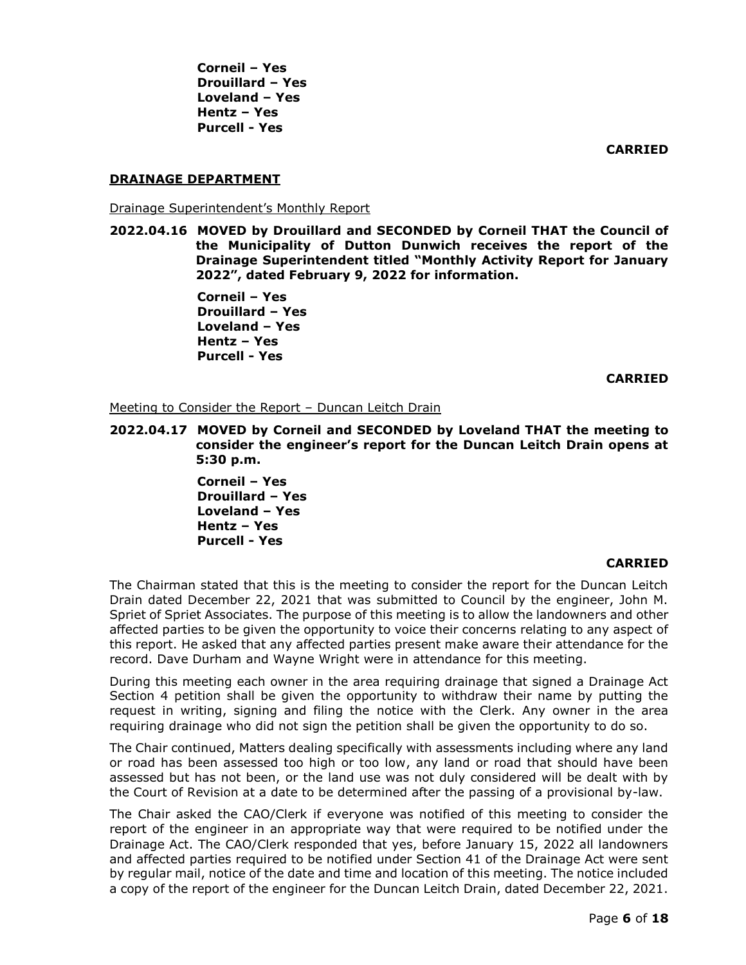**CARRIED**

### **DRAINAGE DEPARTMENT**

Drainage Superintendent's Monthly Report

**2022.04.16 MOVED by Drouillard and SECONDED by Corneil THAT the Council of the Municipality of Dutton Dunwich receives the report of the Drainage Superintendent titled "Monthly Activity Report for January 2022", dated February 9, 2022 for information.** 

> **Corneil – Yes Drouillard – Yes Loveland – Yes Hentz – Yes Purcell - Yes**

> > **CARRIED**

Meeting to Consider the Report – Duncan Leitch Drain

**2022.04.17 MOVED by Corneil and SECONDED by Loveland THAT the meeting to consider the engineer's report for the Duncan Leitch Drain opens at 5:30 p.m.**

> **Corneil – Yes Drouillard – Yes Loveland – Yes Hentz – Yes Purcell - Yes**

### **CARRIED**

The Chairman stated that this is the meeting to consider the report for the Duncan Leitch Drain dated December 22, 2021 that was submitted to Council by the engineer, John M. Spriet of Spriet Associates. The purpose of this meeting is to allow the landowners and other affected parties to be given the opportunity to voice their concerns relating to any aspect of this report. He asked that any affected parties present make aware their attendance for the record. Dave Durham and Wayne Wright were in attendance for this meeting.

During this meeting each owner in the area requiring drainage that signed a Drainage Act Section 4 petition shall be given the opportunity to withdraw their name by putting the request in writing, signing and filing the notice with the Clerk. Any owner in the area requiring drainage who did not sign the petition shall be given the opportunity to do so.

The Chair continued, Matters dealing specifically with assessments including where any land or road has been assessed too high or too low, any land or road that should have been assessed but has not been, or the land use was not duly considered will be dealt with by the Court of Revision at a date to be determined after the passing of a provisional by-law.

The Chair asked the CAO/Clerk if everyone was notified of this meeting to consider the report of the engineer in an appropriate way that were required to be notified under the Drainage Act. The CAO/Clerk responded that yes, before January 15, 2022 all landowners and affected parties required to be notified under Section 41 of the Drainage Act were sent by regular mail, notice of the date and time and location of this meeting. The notice included a copy of the report of the engineer for the Duncan Leitch Drain, dated December 22, 2021.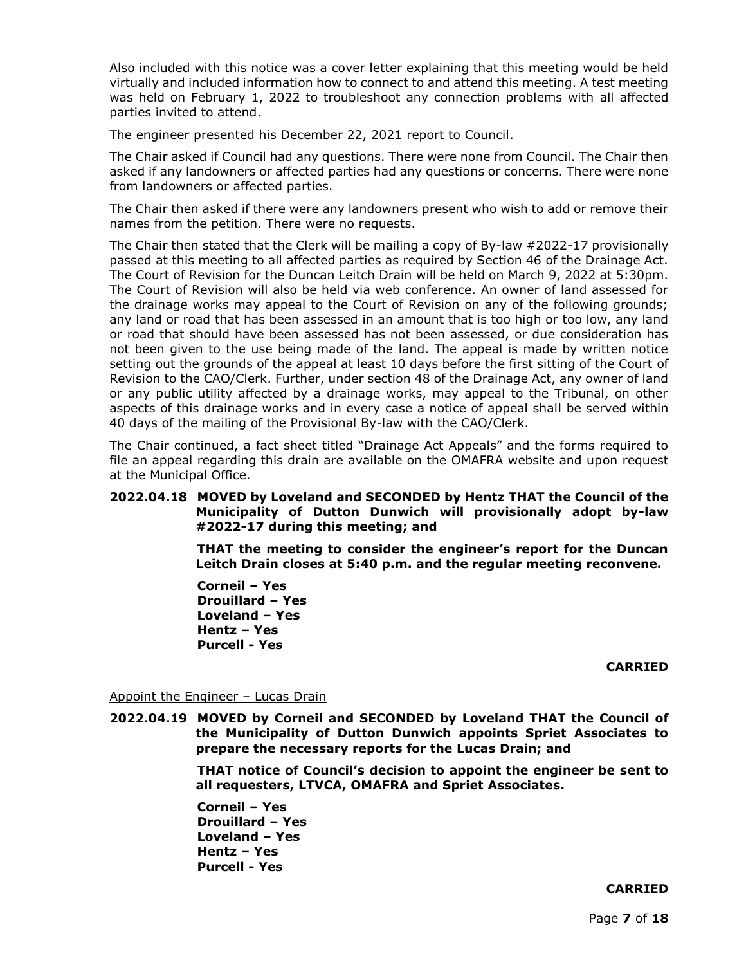Also included with this notice was a cover letter explaining that this meeting would be held virtually and included information how to connect to and attend this meeting. A test meeting was held on February 1, 2022 to troubleshoot any connection problems with all affected parties invited to attend.

The engineer presented his December 22, 2021 report to Council.

The Chair asked if Council had any questions. There were none from Council. The Chair then asked if any landowners or affected parties had any questions or concerns. There were none from landowners or affected parties.

The Chair then asked if there were any landowners present who wish to add or remove their names from the petition. There were no requests.

The Chair then stated that the Clerk will be mailing a copy of By-law #2022-17 provisionally passed at this meeting to all affected parties as required by Section 46 of the Drainage Act. The Court of Revision for the Duncan Leitch Drain will be held on March 9, 2022 at 5:30pm. The Court of Revision will also be held via web conference. An owner of land assessed for the drainage works may appeal to the Court of Revision on any of the following grounds; any land or road that has been assessed in an amount that is too high or too low, any land or road that should have been assessed has not been assessed, or due consideration has not been given to the use being made of the land. The appeal is made by written notice setting out the grounds of the appeal at least 10 days before the first sitting of the Court of Revision to the CAO/Clerk. Further, under section 48 of the Drainage Act, any owner of land or any public utility affected by a drainage works, may appeal to the Tribunal, on other aspects of this drainage works and in every case a notice of appeal shall be served within 40 days of the mailing of the Provisional By-law with the CAO/Clerk.

The Chair continued, a fact sheet titled "Drainage Act Appeals" and the forms required to file an appeal regarding this drain are available on the OMAFRA website and upon request at the Municipal Office.

## **2022.04.18 MOVED by Loveland and SECONDED by Hentz THAT the Council of the Municipality of Dutton Dunwich will provisionally adopt by-law #2022-17 during this meeting; and**

**THAT the meeting to consider the engineer's report for the Duncan Leitch Drain closes at 5:40 p.m. and the regular meeting reconvene.**

**Corneil – Yes Drouillard – Yes Loveland – Yes Hentz – Yes Purcell - Yes**

### **CARRIED**

Appoint the Engineer - Lucas Drain

**2022.04.19 MOVED by Corneil and SECONDED by Loveland THAT the Council of the Municipality of Dutton Dunwich appoints Spriet Associates to prepare the necessary reports for the Lucas Drain; and**

> **THAT notice of Council's decision to appoint the engineer be sent to all requesters, LTVCA, OMAFRA and Spriet Associates.**

**Corneil – Yes Drouillard – Yes Loveland – Yes Hentz – Yes Purcell - Yes**

# **CARRIED**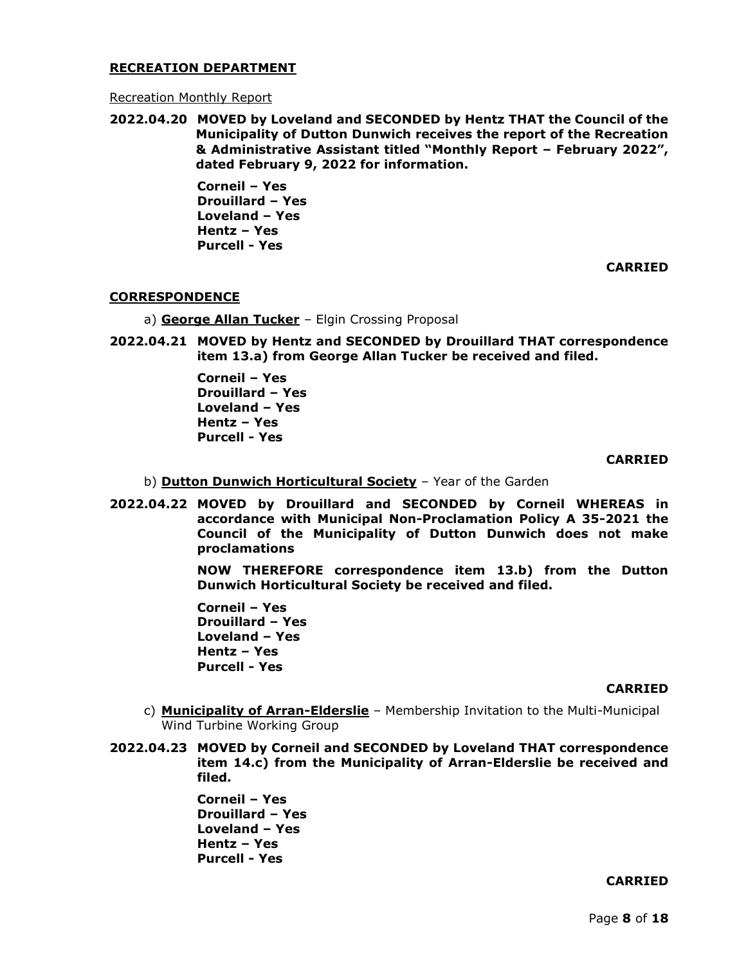### **RECREATION DEPARTMENT**

#### Recreation Monthly Report

**2022.04.20 MOVED by Loveland and SECONDED by Hentz THAT the Council of the Municipality of Dutton Dunwich receives the report of the Recreation & Administrative Assistant titled "Monthly Report – February 2022", dated February 9, 2022 for information.**

> **Corneil – Yes Drouillard – Yes Loveland – Yes Hentz – Yes Purcell - Yes**

> > **CARRIED**

### **CORRESPONDENCE**

a) **George Allan Tucker** – Elgin Crossing Proposal

**2022.04.21 MOVED by Hentz and SECONDED by Drouillard THAT correspondence item 13.a) from George Allan Tucker be received and filed.**

> **Corneil – Yes Drouillard – Yes Loveland – Yes Hentz – Yes Purcell - Yes**

#### **CARRIED**

- b) **Dutton Dunwich Horticultural Society** Year of the Garden
- **2022.04.22 MOVED by Drouillard and SECONDED by Corneil WHEREAS in accordance with Municipal Non-Proclamation Policy A 35-2021 the Council of the Municipality of Dutton Dunwich does not make proclamations**

**NOW THEREFORE correspondence item 13.b) from the Dutton Dunwich Horticultural Society be received and filed.** 

**Corneil – Yes Drouillard – Yes Loveland – Yes Hentz – Yes Purcell - Yes**

#### **CARRIED**

- c) **Municipality of Arran-Elderslie** Membership Invitation to the Multi-Municipal Wind Turbine Working Group
- **2022.04.23 MOVED by Corneil and SECONDED by Loveland THAT correspondence item 14.c) from the Municipality of Arran-Elderslie be received and filed.**

**Corneil – Yes Drouillard – Yes Loveland – Yes Hentz – Yes Purcell - Yes**

#### **CARRIED**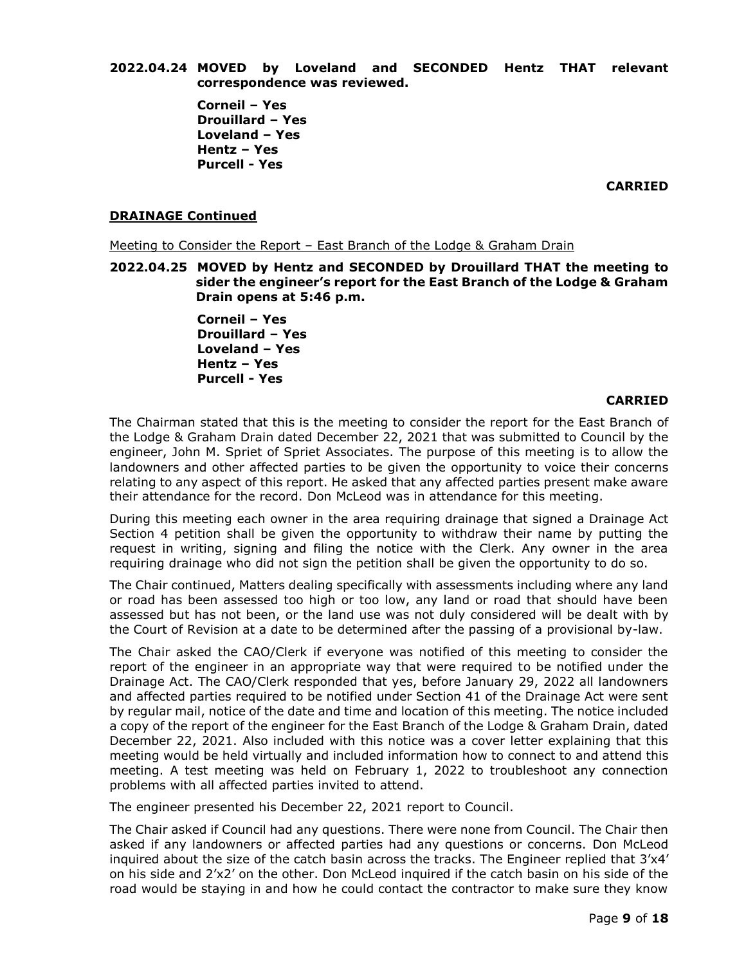**2022.04.24 MOVED by Loveland and SECONDED Hentz THAT relevant correspondence was reviewed.**

> **Corneil – Yes Drouillard – Yes Loveland – Yes Hentz – Yes Purcell - Yes**

> > **CARRIED**

### **DRAINAGE Continued**

Meeting to Consider the Report – East Branch of the Lodge & Graham Drain

**2022.04.25 MOVED by Hentz and SECONDED by Drouillard THAT the meeting to sider the engineer's report for the East Branch of the Lodge & Graham Drain opens at 5:46 p.m.**

> **Corneil – Yes Drouillard – Yes Loveland – Yes Hentz – Yes Purcell - Yes**

### **CARRIED**

The Chairman stated that this is the meeting to consider the report for the East Branch of the Lodge & Graham Drain dated December 22, 2021 that was submitted to Council by the engineer, John M. Spriet of Spriet Associates. The purpose of this meeting is to allow the landowners and other affected parties to be given the opportunity to voice their concerns relating to any aspect of this report. He asked that any affected parties present make aware their attendance for the record. Don McLeod was in attendance for this meeting.

During this meeting each owner in the area requiring drainage that signed a Drainage Act Section 4 petition shall be given the opportunity to withdraw their name by putting the request in writing, signing and filing the notice with the Clerk. Any owner in the area requiring drainage who did not sign the petition shall be given the opportunity to do so.

The Chair continued, Matters dealing specifically with assessments including where any land or road has been assessed too high or too low, any land or road that should have been assessed but has not been, or the land use was not duly considered will be dealt with by the Court of Revision at a date to be determined after the passing of a provisional by-law.

The Chair asked the CAO/Clerk if everyone was notified of this meeting to consider the report of the engineer in an appropriate way that were required to be notified under the Drainage Act. The CAO/Clerk responded that yes, before January 29, 2022 all landowners and affected parties required to be notified under Section 41 of the Drainage Act were sent by regular mail, notice of the date and time and location of this meeting. The notice included a copy of the report of the engineer for the East Branch of the Lodge & Graham Drain, dated December 22, 2021. Also included with this notice was a cover letter explaining that this meeting would be held virtually and included information how to connect to and attend this meeting. A test meeting was held on February 1, 2022 to troubleshoot any connection problems with all affected parties invited to attend.

The engineer presented his December 22, 2021 report to Council.

The Chair asked if Council had any questions. There were none from Council. The Chair then asked if any landowners or affected parties had any questions or concerns. Don McLeod inquired about the size of the catch basin across the tracks. The Engineer replied that 3'x4' on his side and 2'x2' on the other. Don McLeod inquired if the catch basin on his side of the road would be staying in and how he could contact the contractor to make sure they know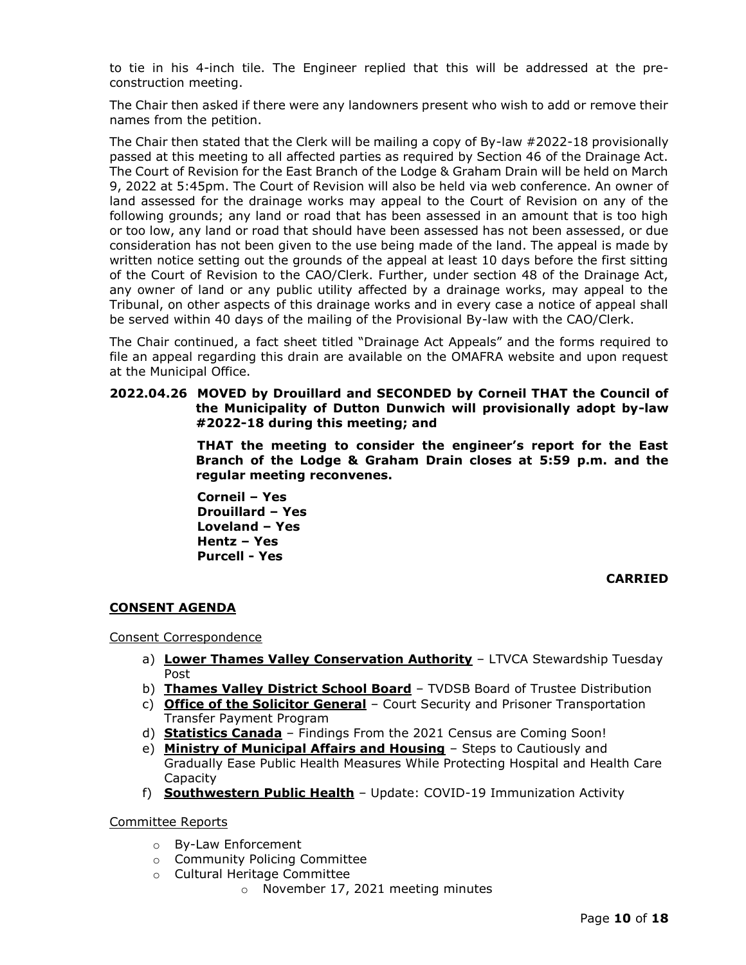to tie in his 4-inch tile. The Engineer replied that this will be addressed at the preconstruction meeting.

The Chair then asked if there were any landowners present who wish to add or remove their names from the petition.

The Chair then stated that the Clerk will be mailing a copy of By-law #2022-18 provisionally passed at this meeting to all affected parties as required by Section 46 of the Drainage Act. The Court of Revision for the East Branch of the Lodge & Graham Drain will be held on March 9, 2022 at 5:45pm. The Court of Revision will also be held via web conference. An owner of land assessed for the drainage works may appeal to the Court of Revision on any of the following grounds; any land or road that has been assessed in an amount that is too high or too low, any land or road that should have been assessed has not been assessed, or due consideration has not been given to the use being made of the land. The appeal is made by written notice setting out the grounds of the appeal at least 10 days before the first sitting of the Court of Revision to the CAO/Clerk. Further, under section 48 of the Drainage Act, any owner of land or any public utility affected by a drainage works, may appeal to the Tribunal, on other aspects of this drainage works and in every case a notice of appeal shall be served within 40 days of the mailing of the Provisional By-law with the CAO/Clerk.

The Chair continued, a fact sheet titled "Drainage Act Appeals" and the forms required to file an appeal regarding this drain are available on the OMAFRA website and upon request at the Municipal Office.

## **2022.04.26 MOVED by Drouillard and SECONDED by Corneil THAT the Council of the Municipality of Dutton Dunwich will provisionally adopt by-law #2022-18 during this meeting; and**

**THAT the meeting to consider the engineer's report for the East Branch of the Lodge & Graham Drain closes at 5:59 p.m. and the regular meeting reconvenes.**

**Corneil – Yes Drouillard – Yes Loveland – Yes Hentz – Yes Purcell - Yes**

**CARRIED**

## **CONSENT AGENDA**

### Consent Correspondence

- a) **Lower Thames Valley Conservation Authority** LTVCA Stewardship Tuesday Post
- b) **Thames Valley District School Board** TVDSB Board of Trustee Distribution
- c) **Office of the Solicitor General** Court Security and Prisoner Transportation Transfer Payment Program
- d) **Statistics Canada** Findings From the 2021 Census are Coming Soon!
- e) **Ministry of Municipal Affairs and Housing** Steps to Cautiously and Gradually Ease Public Health Measures While Protecting Hospital and Health Care Capacity
- f) **Southwestern Public Health** Update: COVID-19 Immunization Activity

Committee Reports

- o By-Law Enforcement
- o Community Policing Committee
- o Cultural Heritage Committee
	- o November 17, 2021 meeting minutes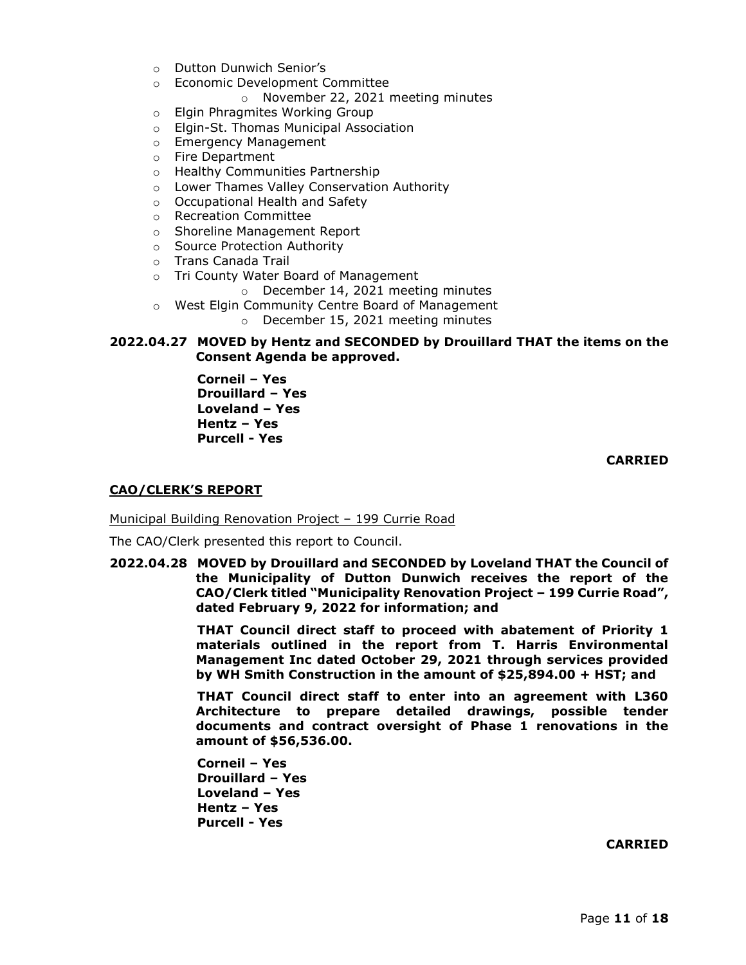- o Dutton Dunwich Senior's
- o Economic Development Committee
	- o November 22, 2021 meeting minutes
- o Elgin Phragmites Working Group
- o Elgin-St. Thomas Municipal Association
- o Emergency Management
- o Fire Department
- o Healthy Communities Partnership
- o Lower Thames Valley Conservation Authority
- o Occupational Health and Safety
- o Recreation Committee
- o Shoreline Management Report
- o Source Protection Authority
- o Trans Canada Trail
- o Tri County Water Board of Management
	- o December 14, 2021 meeting minutes
- o West Elgin Community Centre Board of Management
	- o December 15, 2021 meeting minutes

## **2022.04.27 MOVED by Hentz and SECONDED by Drouillard THAT the items on the Consent Agenda be approved.**

**Corneil – Yes Drouillard – Yes Loveland – Yes Hentz – Yes Purcell - Yes**

**CARRIED**

## **CAO/CLERK'S REPORT**

Municipal Building Renovation Project – 199 Currie Road

The CAO/Clerk presented this report to Council.

**2022.04.28 MOVED by Drouillard and SECONDED by Loveland THAT the Council of the Municipality of Dutton Dunwich receives the report of the CAO/Clerk titled "Municipality Renovation Project – 199 Currie Road", dated February 9, 2022 for information; and**

> **THAT Council direct staff to proceed with abatement of Priority 1 materials outlined in the report from T. Harris Environmental Management Inc dated October 29, 2021 through services provided by WH Smith Construction in the amount of \$25,894.00 + HST; and**

> **THAT Council direct staff to enter into an agreement with L360 Architecture to prepare detailed drawings, possible tender documents and contract oversight of Phase 1 renovations in the amount of \$56,536.00.**

**Corneil – Yes Drouillard – Yes Loveland – Yes Hentz – Yes Purcell - Yes**

**CARRIED**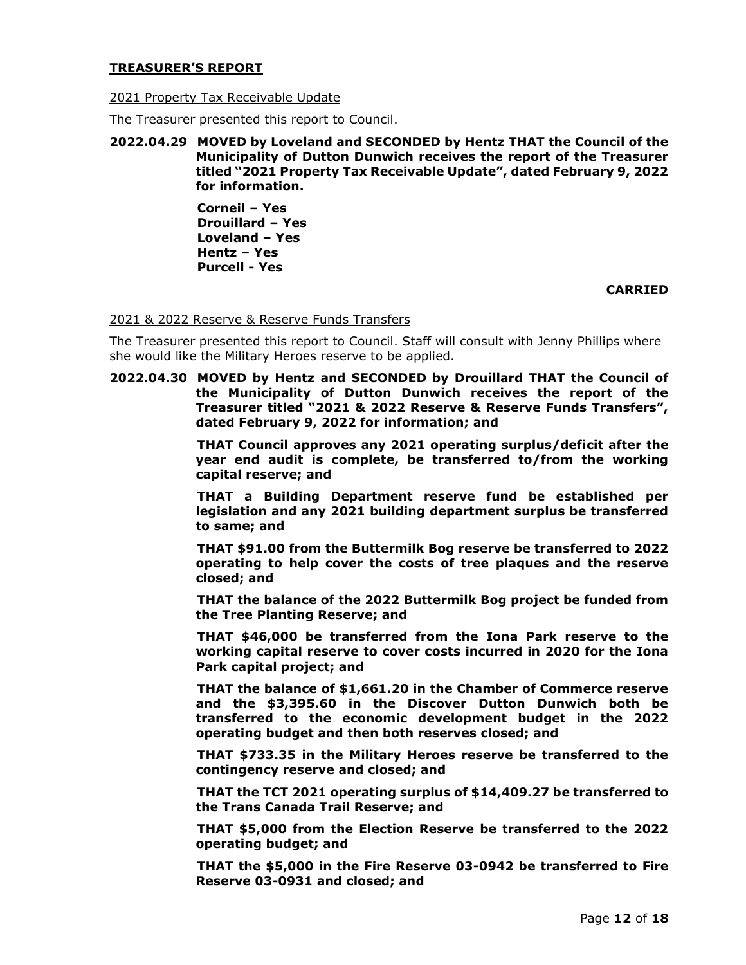### **TREASURER'S REPORT**

## 2021 Property Tax Receivable Update

The Treasurer presented this report to Council.

## **2022.04.29 MOVED by Loveland and SECONDED by Hentz THAT the Council of the Municipality of Dutton Dunwich receives the report of the Treasurer titled "2021 Property Tax Receivable Update", dated February 9, 2022 for information.**

**Corneil – Yes Drouillard – Yes Loveland – Yes Hentz – Yes Purcell - Yes**

### **CARRIED**

### 2021 & 2022 Reserve & Reserve Funds Transfers

The Treasurer presented this report to Council. Staff will consult with Jenny Phillips where she would like the Military Heroes reserve to be applied.

**2022.04.30 MOVED by Hentz and SECONDED by Drouillard THAT the Council of the Municipality of Dutton Dunwich receives the report of the Treasurer titled "2021 & 2022 Reserve & Reserve Funds Transfers", dated February 9, 2022 for information; and**

> **THAT Council approves any 2021 operating surplus/deficit after the year end audit is complete, be transferred to/from the working capital reserve; and**

> **THAT a Building Department reserve fund be established per legislation and any 2021 building department surplus be transferred to same; and**

> **THAT \$91.00 from the Buttermilk Bog reserve be transferred to 2022 operating to help cover the costs of tree plaques and the reserve closed; and**

> **THAT the balance of the 2022 Buttermilk Bog project be funded from the Tree Planting Reserve; and**

> **THAT \$46,000 be transferred from the Iona Park reserve to the working capital reserve to cover costs incurred in 2020 for the Iona Park capital project; and**

> **THAT the balance of \$1,661.20 in the Chamber of Commerce reserve and the \$3,395.60 in the Discover Dutton Dunwich both be transferred to the economic development budget in the 2022 operating budget and then both reserves closed; and**

> **THAT \$733.35 in the Military Heroes reserve be transferred to the contingency reserve and closed; and**

> **THAT the TCT 2021 operating surplus of \$14,409.27 be transferred to the Trans Canada Trail Reserve; and**

> **THAT \$5,000 from the Election Reserve be transferred to the 2022 operating budget; and**

> **THAT the \$5,000 in the Fire Reserve 03-0942 be transferred to Fire Reserve 03-0931 and closed; and**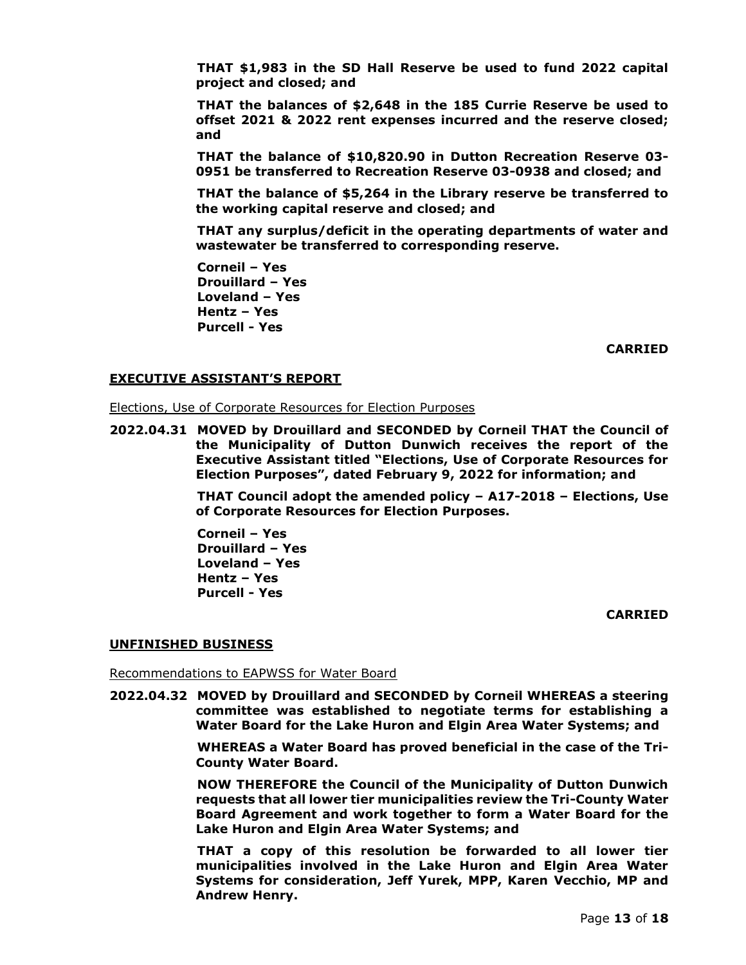**THAT \$1,983 in the SD Hall Reserve be used to fund 2022 capital project and closed; and**

**THAT the balances of \$2,648 in the 185 Currie Reserve be used to offset 2021 & 2022 rent expenses incurred and the reserve closed; and**

**THAT the balance of \$10,820.90 in Dutton Recreation Reserve 03- 0951 be transferred to Recreation Reserve 03-0938 and closed; and**

**THAT the balance of \$5,264 in the Library reserve be transferred to the working capital reserve and closed; and**

**THAT any surplus/deficit in the operating departments of water and wastewater be transferred to corresponding reserve.**

**Corneil – Yes Drouillard – Yes Loveland – Yes Hentz – Yes Purcell - Yes**

**CARRIED**

#### **EXECUTIVE ASSISTANT'S REPORT**

Elections, Use of Corporate Resources for Election Purposes

**2022.04.31 MOVED by Drouillard and SECONDED by Corneil THAT the Council of the Municipality of Dutton Dunwich receives the report of the Executive Assistant titled "Elections, Use of Corporate Resources for Election Purposes", dated February 9, 2022 for information; and**

> **THAT Council adopt the amended policy – A17-2018 – Elections, Use of Corporate Resources for Election Purposes.**

**Corneil – Yes Drouillard – Yes Loveland – Yes Hentz – Yes Purcell - Yes**

#### **CARRIED**

#### **UNFINISHED BUSINESS**

Recommendations to EAPWSS for Water Board

**2022.04.32 MOVED by Drouillard and SECONDED by Corneil WHEREAS a steering committee was established to negotiate terms for establishing a Water Board for the Lake Huron and Elgin Area Water Systems; and**

> **WHEREAS a Water Board has proved beneficial in the case of the Tri-County Water Board.**

> **NOW THEREFORE the Council of the Municipality of Dutton Dunwich requests that all lower tier municipalities review the Tri-County Water Board Agreement and work together to form a Water Board for the Lake Huron and Elgin Area Water Systems; and**

> **THAT a copy of this resolution be forwarded to all lower tier municipalities involved in the Lake Huron and Elgin Area Water Systems for consideration, Jeff Yurek, MPP, Karen Vecchio, MP and Andrew Henry.**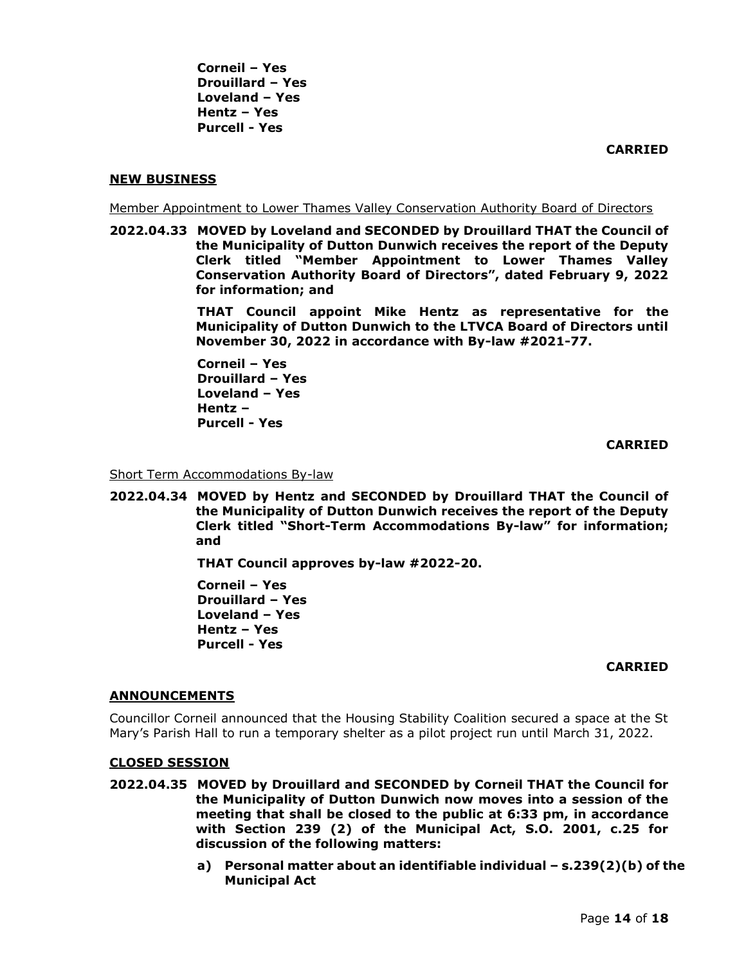**CARRIED**

## **NEW BUSINESS**

Member Appointment to Lower Thames Valley Conservation Authority Board of Directors

**2022.04.33 MOVED by Loveland and SECONDED by Drouillard THAT the Council of the Municipality of Dutton Dunwich receives the report of the Deputy Clerk titled "Member Appointment to Lower Thames Valley Conservation Authority Board of Directors", dated February 9, 2022 for information; and**

> **THAT Council appoint Mike Hentz as representative for the Municipality of Dutton Dunwich to the LTVCA Board of Directors until November 30, 2022 in accordance with By-law #2021-77.**

**Corneil – Yes Drouillard – Yes Loveland – Yes Hentz – Purcell - Yes**

**CARRIED**

Short Term Accommodations By-law

**2022.04.34 MOVED by Hentz and SECONDED by Drouillard THAT the Council of the Municipality of Dutton Dunwich receives the report of the Deputy Clerk titled "Short-Term Accommodations By-law" for information; and**

**THAT Council approves by-law #2022-20.**

**Corneil – Yes Drouillard – Yes Loveland – Yes Hentz – Yes Purcell - Yes**

### **CARRIED**

### **ANNOUNCEMENTS**

Councillor Corneil announced that the Housing Stability Coalition secured a space at the St Mary's Parish Hall to run a temporary shelter as a pilot project run until March 31, 2022.

### **CLOSED SESSION**

- **2022.04.35 MOVED by Drouillard and SECONDED by Corneil THAT the Council for the Municipality of Dutton Dunwich now moves into a session of the meeting that shall be closed to the public at 6:33 pm, in accordance with Section 239 (2) of the Municipal Act, S.O. 2001, c.25 for discussion of the following matters:**
	- **a) Personal matter about an identifiable individual – s.239(2)(b) of the Municipal Act**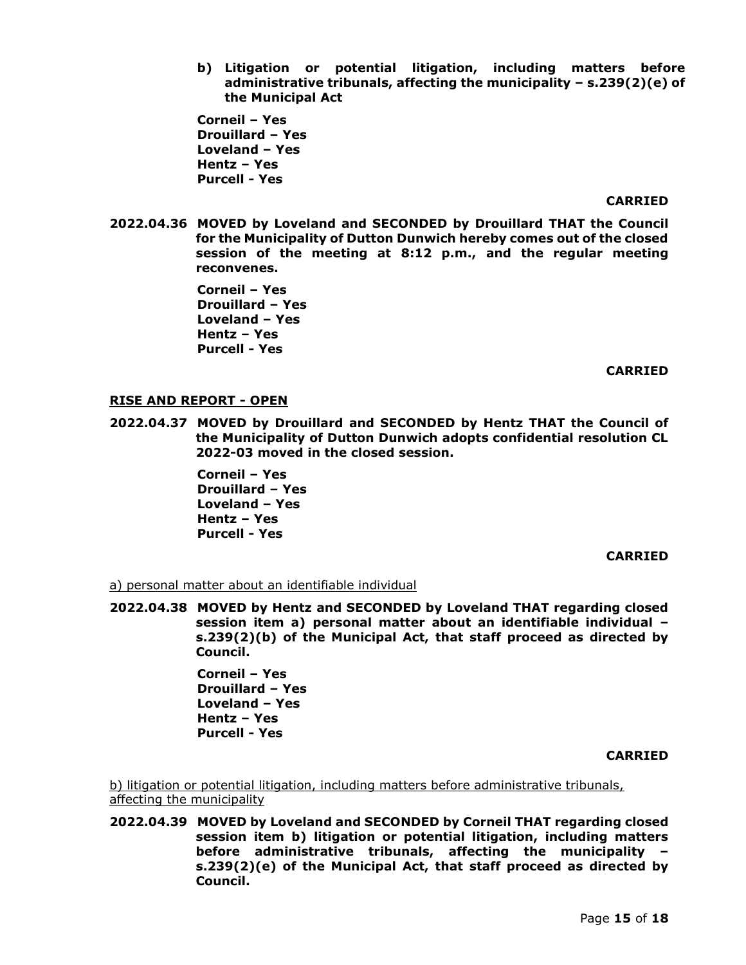**b) Litigation or potential litigation, including matters before administrative tribunals, affecting the municipality – s.239(2)(e) of the Municipal Act**

**Corneil – Yes Drouillard – Yes Loveland – Yes Hentz – Yes Purcell - Yes**

#### **CARRIED**

**2022.04.36 MOVED by Loveland and SECONDED by Drouillard THAT the Council for the Municipality of Dutton Dunwich hereby comes out of the closed session of the meeting at 8:12 p.m., and the regular meeting reconvenes.**

> **Corneil – Yes Drouillard – Yes Loveland – Yes Hentz – Yes Purcell - Yes**

#### **CARRIED**

#### **RISE AND REPORT - OPEN**

**2022.04.37 MOVED by Drouillard and SECONDED by Hentz THAT the Council of the Municipality of Dutton Dunwich adopts confidential resolution CL 2022-03 moved in the closed session.**

> **Corneil – Yes Drouillard – Yes Loveland – Yes Hentz – Yes Purcell - Yes**

### **CARRIED**

a) personal matter about an identifiable individual

**2022.04.38 MOVED by Hentz and SECONDED by Loveland THAT regarding closed session item a) personal matter about an identifiable individual – s.239(2)(b) of the Municipal Act, that staff proceed as directed by Council.**

> **Corneil – Yes Drouillard – Yes Loveland – Yes Hentz – Yes Purcell - Yes**

#### **CARRIED**

b) litigation or potential litigation, including matters before administrative tribunals, affecting the municipality

**2022.04.39 MOVED by Loveland and SECONDED by Corneil THAT regarding closed session item b) litigation or potential litigation, including matters before administrative tribunals, affecting the municipality – s.239(2)(e) of the Municipal Act, that staff proceed as directed by Council.**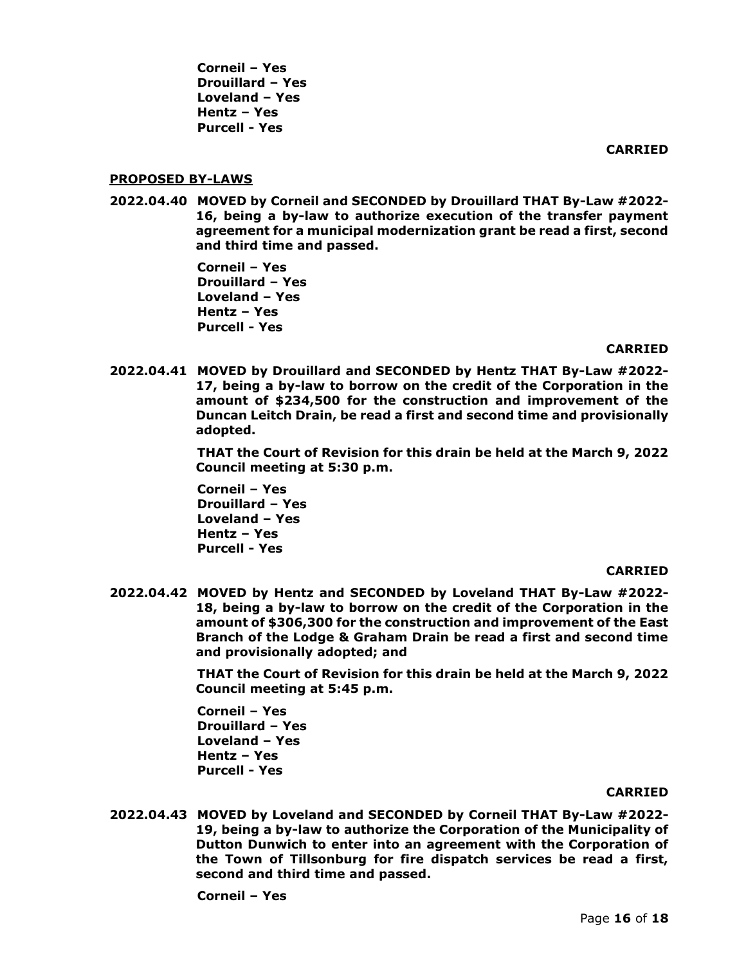**CARRIED**

### **PROPOSED BY-LAWS**

**2022.04.40 MOVED by Corneil and SECONDED by Drouillard THAT By-Law #2022- 16, being a by-law to authorize execution of the transfer payment agreement for a municipal modernization grant be read a first, second and third time and passed.**

> **Corneil – Yes Drouillard – Yes Loveland – Yes Hentz – Yes Purcell - Yes**

### **CARRIED**

**2022.04.41 MOVED by Drouillard and SECONDED by Hentz THAT By-Law #2022- 17, being a by-law to borrow on the credit of the Corporation in the amount of \$234,500 for the construction and improvement of the Duncan Leitch Drain, be read a first and second time and provisionally adopted.**

> **THAT the Court of Revision for this drain be held at the March 9, 2022 Council meeting at 5:30 p.m.**

**Corneil – Yes Drouillard – Yes Loveland – Yes Hentz – Yes Purcell - Yes**

### **CARRIED**

**2022.04.42 MOVED by Hentz and SECONDED by Loveland THAT By-Law #2022- 18, being a by-law to borrow on the credit of the Corporation in the amount of \$306,300 for the construction and improvement of the East Branch of the Lodge & Graham Drain be read a first and second time and provisionally adopted; and**

> **THAT the Court of Revision for this drain be held at the March 9, 2022 Council meeting at 5:45 p.m.**

**Corneil – Yes Drouillard – Yes Loveland – Yes Hentz – Yes Purcell - Yes**

### **CARRIED**

**2022.04.43 MOVED by Loveland and SECONDED by Corneil THAT By-Law #2022- 19, being a by-law to authorize the Corporation of the Municipality of Dutton Dunwich to enter into an agreement with the Corporation of the Town of Tillsonburg for fire dispatch services be read a first, second and third time and passed.**

**Corneil – Yes**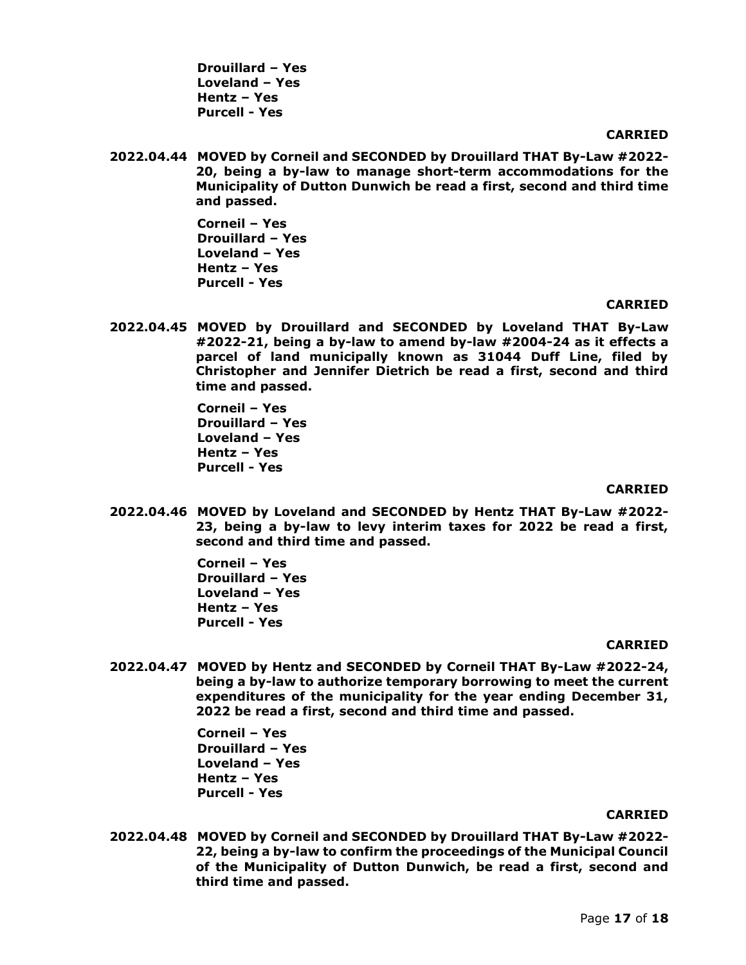**Drouillard – Yes Loveland – Yes Hentz – Yes Purcell - Yes**

#### **CARRIED**

**2022.04.44 MOVED by Corneil and SECONDED by Drouillard THAT By-Law #2022- 20, being a by-law to manage short-term accommodations for the Municipality of Dutton Dunwich be read a first, second and third time and passed.**

> **Corneil – Yes Drouillard – Yes Loveland – Yes Hentz – Yes Purcell - Yes**

#### **CARRIED**

**2022.04.45 MOVED by Drouillard and SECONDED by Loveland THAT By-Law #2022-21, being a by-law to amend by-law #2004-24 as it effects a parcel of land municipally known as 31044 Duff Line, filed by Christopher and Jennifer Dietrich be read a first, second and third time and passed.**

> **Corneil – Yes Drouillard – Yes Loveland – Yes Hentz – Yes Purcell - Yes**

#### **CARRIED**

**2022.04.46 MOVED by Loveland and SECONDED by Hentz THAT By-Law #2022- 23, being a by-law to levy interim taxes for 2022 be read a first, second and third time and passed.**

> **Corneil – Yes Drouillard – Yes Loveland – Yes Hentz – Yes Purcell - Yes**

#### **CARRIED**

**2022.04.47 MOVED by Hentz and SECONDED by Corneil THAT By-Law #2022-24, being a by-law to authorize temporary borrowing to meet the current expenditures of the municipality for the year ending December 31, 2022 be read a first, second and third time and passed.** 

> **Corneil – Yes Drouillard – Yes Loveland – Yes Hentz – Yes Purcell - Yes**

### **CARRIED**

**2022.04.48 MOVED by Corneil and SECONDED by Drouillard THAT By-Law #2022- 22, being a by-law to confirm the proceedings of the Municipal Council of the Municipality of Dutton Dunwich, be read a first, second and third time and passed.**